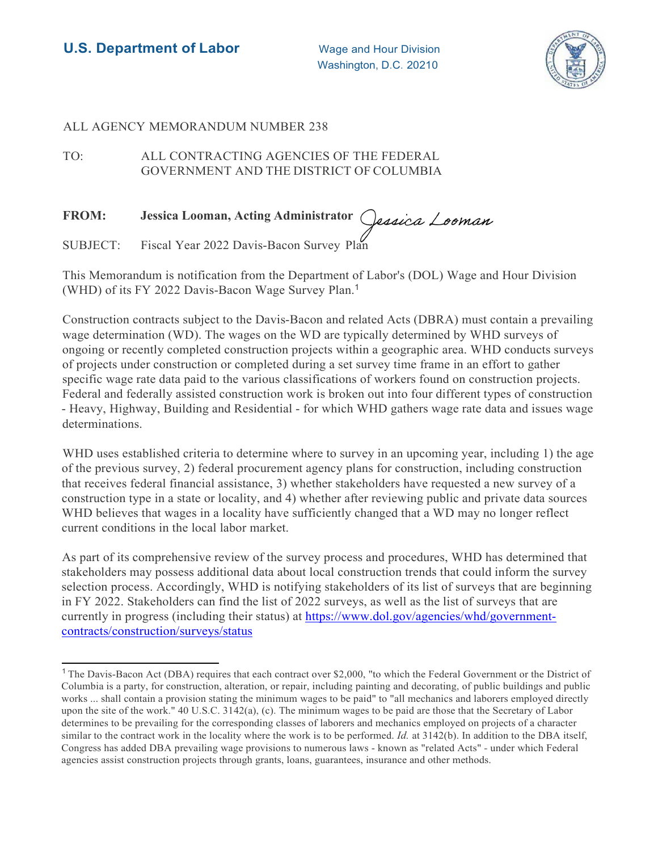

## ALL AGENCY MEMORANDUM NUMBER 238

TO: ALL CONTRACTING AGENCIES OF THE FEDERAL GOVERNMENT AND THE DISTRICT OF COLUMBIA

## **FROM: Jessica Looman, Acting Administrator**

SUBJECT: Fiscal Year 2022 Davis-Bacon Survey Plan

This Memorandum is notification from the Department of Labor's (DOL) Wage and Hour Division (WHD) of its FY 2022 Davis-Bacon Wage Survey Plan.<sup>1</sup>

Construction contracts subject to the Davis-Bacon and related Acts (DBRA) must contain a prevailing wage determination (WD). The wages on the WD are typically determined by WHD surveys of ongoing or recently completed construction projects within a geographic area. WHD conducts surveys of projects under construction or completed during a set survey time frame in an effort to gather specific wage rate data paid to the various classifications of workers found on construction projects. Federal and federally assisted construction work is broken out into four different types of construction - Heavy, Highway, Building and Residential - for which WHD gathers wage rate data and issues wage determinations.

WHD uses established criteria to determine where to survey in an upcoming year, including 1) the age of the previous survey, 2) federal procurement agency plans for construction, including construction that receives federal financial assistance, 3) whether stakeholders have requested a new survey of a construction type in a state or locality, and 4) whether after reviewing public and private data sources WHD believes that wages in a locality have sufficiently changed that a WD may no longer reflect current conditions in the local labor market.

As part of its comprehensive review of the survey process and procedures, WHD has determined that stakeholders may possess additional data about local construction trends that could inform the survey selection process. Accordingly, WHD is notifying stakeholders of its list of surveys that are beginning in FY 2022. Stakeholders can find the list of 2022 surveys, as well as the list of surveys that are currently in progress (including their status) at [https://www.dol.gov/agencies/whd/government](https://www.dol.gov/agencies/whd/government-contracts/construction/surveys/status)[contracts/construction/surveys/status](https://www.dol.gov/agencies/whd/government-contracts/construction/surveys/status) 

<sup>&</sup>lt;sup>1</sup> The Davis-Bacon Act (DBA) requires that each contract over \$2,000, "to which the Federal Government or the District of Columbia is a party, for construction, alteration, or repair, including painting and decorating, of public buildings and public works ... shall contain a provision stating the minimum wages to be paid" to "all mechanics and laborers employed directly upon the site of the work." 40 U.S.C. 3142(a), (c). The minimum wages to be paid are those that the Secretary of Labor determines to be prevailing for the corresponding classes of laborers and mechanics employed on projects of a character similar to the contract work in the locality where the work is to be performed. *Id.* at 3142(b). In addition to the DBA itself, Congress has added DBA prevailing wage provisions to numerous laws - known as "related Acts" - under which Federal agencies assist construction projects through grants, loans, guarantees, insurance and other methods.